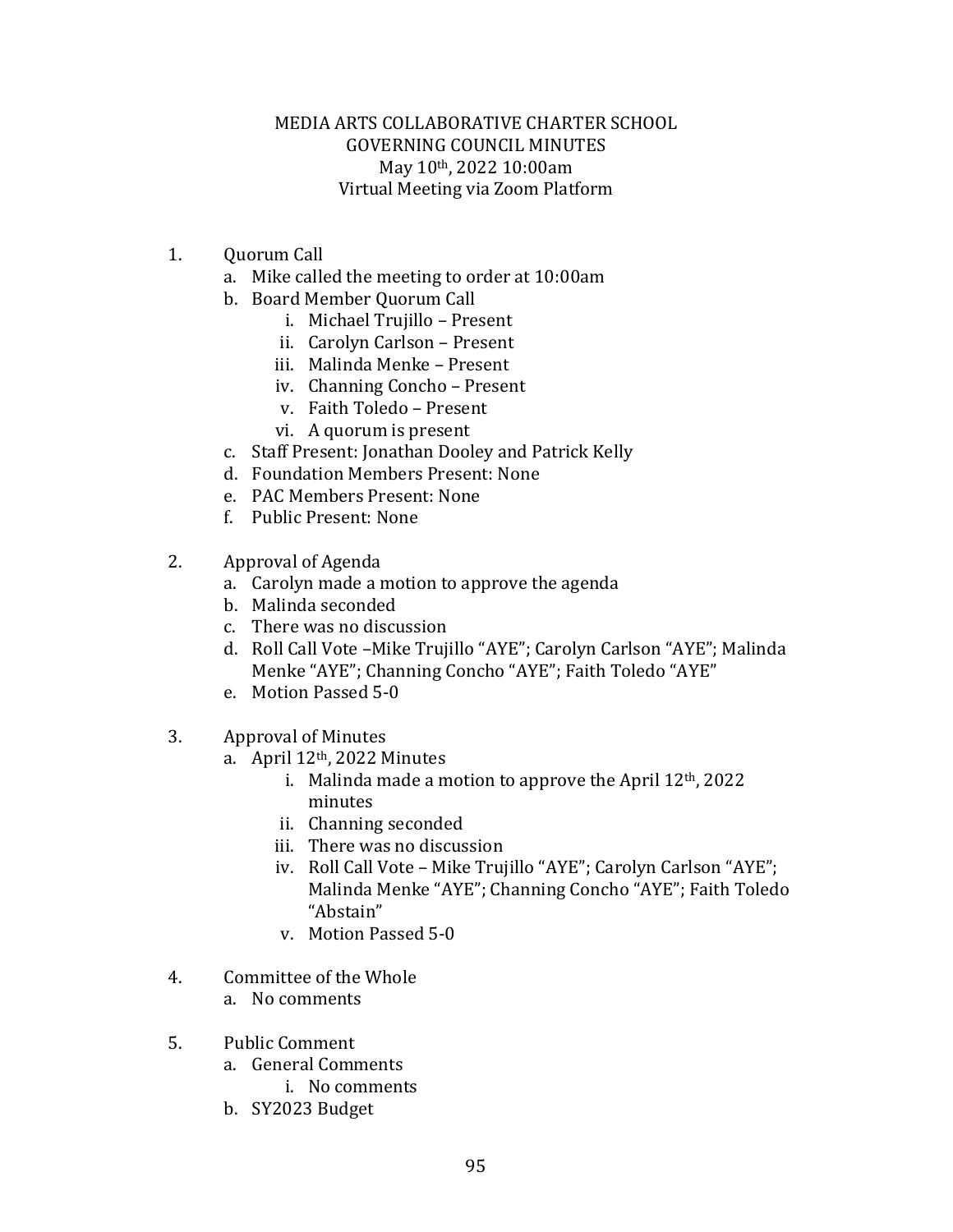## MEDIA ARTS COLLABORATIVE CHARTER SCHOOL GOVERNING COUNCIL MINUTES May 10th, 2022 10:00am Virtual Meeting via Zoom Platform

- 1. Quorum Call
	- a. Mike called the meeting to order at 10:00am
	- b. Board Member Quorum Call
		- i. Michael Trujillo Present
		- ii. Carolyn Carlson Present
		- iii. Malinda Menke Present
		- iv. Channing Concho Present
		- v. Faith Toledo Present
		- vi. A quorum is present
	- c. Staff Present: Jonathan Dooley and Patrick Kelly
	- d. Foundation Members Present: None
	- e. PAC Members Present: None
	- f. Public Present: None
- 2. Approval of Agenda
	- a. Carolyn made a motion to approve the agenda
	- b. Malinda seconded
	- c. There was no discussion
	- d. Roll Call Vote –Mike Trujillo "AYE"; Carolyn Carlson "AYE"; Malinda Menke "AYE"; Channing Concho "AYE"; Faith Toledo "AYE"
	- e. Motion Passed 5-0
- 3. Approval of Minutes
	- a. April 12th, 2022 Minutes
		- i. Malinda made a motion to approve the April  $12<sup>th</sup>$ , 2022 minutes
		- ii. Channing seconded
		- iii. There was no discussion
		- iv. Roll Call Vote Mike Trujillo "AYE"; Carolyn Carlson "AYE"; Malinda Menke "AYE"; Channing Concho "AYE"; Faith Toledo "Abstain"
		- v. Motion Passed 5-0
- 4. Committee of the Whole
	- a. No comments
- 5. Public Comment
	- a. General Comments
		- i. No comments
	- b. SY2023 Budget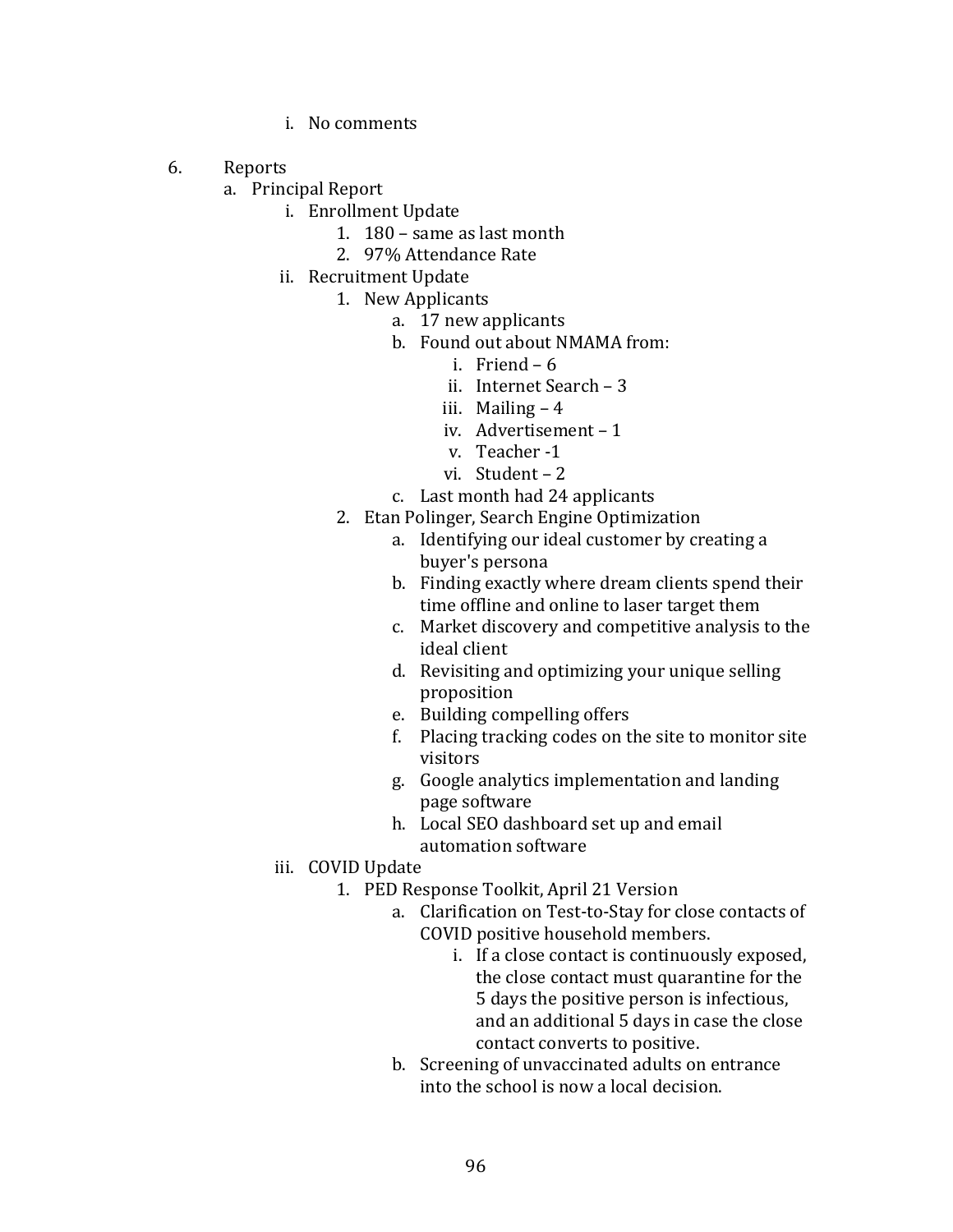- i. No comments
- 6. Reports
	- a. Principal Report
		- i. Enrollment Update
			- 1. 180 same as last month
			- 2. 97% Attendance Rate
		- ii. Recruitment Update
			- 1. New Applicants
				- a. 17 new applicants
				- b. Found out about NMAMA from:
					- i. Friend 6
					- ii. Internet Search 3
					- iii. Mailing 4
					- iv. Advertisement 1
					- v. Teacher -1
					- vi. Student 2
				- c. Last month had 24 applicants
			- 2. Etan Polinger, Search Engine Optimization
				- a. Identifying our ideal customer by creating a buyer's persona
				- b. Finding exactly where dream clients spend their time offline and online to laser target them
				- c. Market discovery and competitive analysis to the ideal client
				- d. Revisiting and optimizing your unique selling proposition
				- e. Building compelling offers
				- f. Placing tracking codes on the site to monitor site visitors
				- g. Google analytics implementation and landing page software
				- h. Local SEO dashboard set up and email automation software
		- iii. COVID Update
			- 1. PED Response Toolkit, April 21 Version
				- a. Clarification on Test-to-Stay for close contacts of COVID positive household members.
					- i. If a close contact is continuously exposed, the close contact must quarantine for the 5 days the positive person is infectious, and an additional 5 days in case the close contact converts to positive.
				- b. Screening of unvaccinated adults on entrance into the school is now a local decision.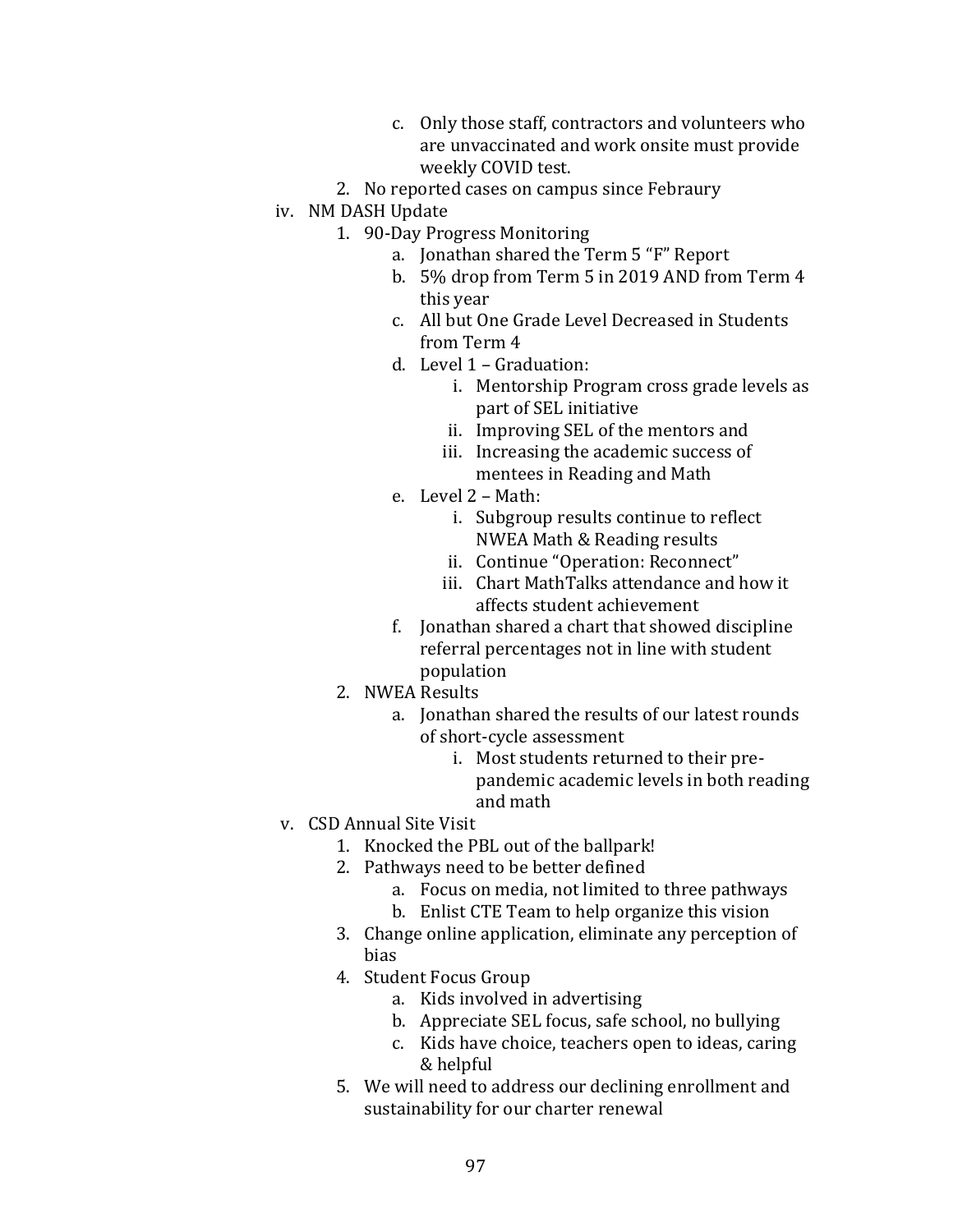- c. Only those staff, contractors and volunteers who are unvaccinated and work onsite must provide weekly COVID test.
- 2. No reported cases on campus since Febraury
- iv. NM DASH Update
	- 1. 90-Day Progress Monitoring
		- a. Jonathan shared the Term 5 "F" Report
		- b. 5% drop from Term 5 in 2019 AND from Term 4 this year
		- c. All but One Grade Level Decreased in Students from Term 4
		- d. Level 1 Graduation:
			- i. Mentorship Program cross grade levels as part of SEL initiative
			- ii. Improving SEL of the mentors and
			- iii. Increasing the academic success of mentees in Reading and Math
		- e. Level 2 Math:
			- i. Subgroup results continue to reflect NWEA Math & Reading results
			- ii. Continue "Operation: Reconnect"
			- iii. Chart MathTalks attendance and how it affects student achievement
		- f. Jonathan shared a chart that showed discipline referral percentages not in line with student population
	- 2. NWEA Results
		- a. Jonathan shared the results of our latest rounds of short-cycle assessment
			- i. Most students returned to their prepandemic academic levels in both reading and math

## v. CSD Annual Site Visit

- 1. Knocked the PBL out of the ballpark!
- 2. Pathways need to be better defined
	- a. Focus on media, not limited to three pathways
	- b. Enlist CTE Team to help organize this vision
- 3. Change online application, eliminate any perception of bias
- 4. Student Focus Group
	- a. Kids involved in advertising
	- b. Appreciate SEL focus, safe school, no bullying
	- c. Kids have choice, teachers open to ideas, caring & helpful
- 5. We will need to address our declining enrollment and sustainability for our charter renewal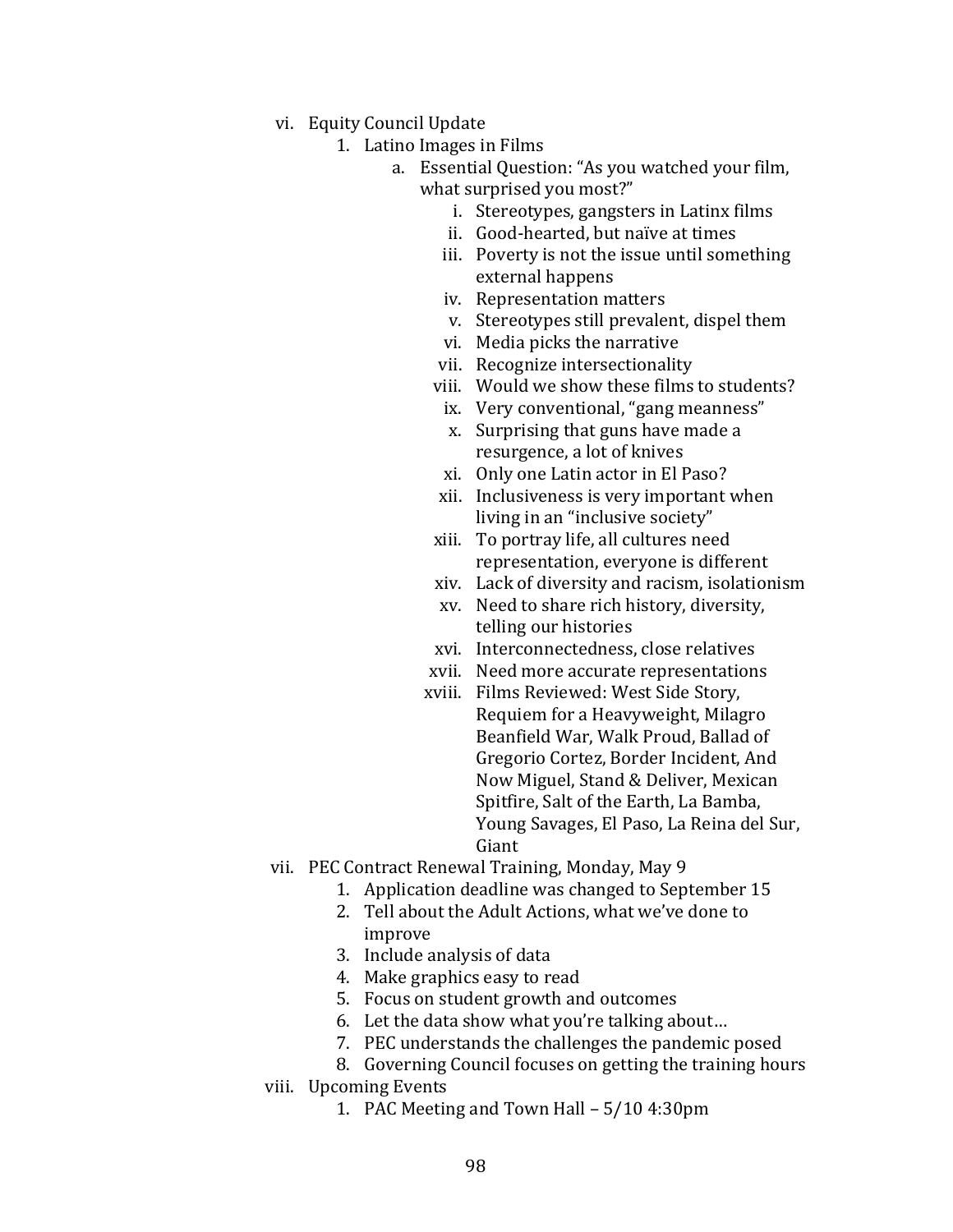- vi. Equity Council Update
	- 1. Latino Images in Films
		- a. Essential Question: "As you watched your film, what surprised you most?"
			- i. Stereotypes, gangsters in Latinx films
			- ii. Good-hearted, but naïve at times
			- iii. Poverty is not the issue until something external happens
			- iv. Representation matters
			- v. Stereotypes still prevalent, dispel them
			- vi. Media picks the narrative
			- vii. Recognize intersectionality
			- viii. Would we show these films to students?
			- ix. Very conventional, "gang meanness"
			- x. Surprising that guns have made a resurgence, a lot of knives
			- xi. Only one Latin actor in El Paso?
			- xii. Inclusiveness is very important when living in an "inclusive society"
			- xiii. To portray life, all cultures need representation, everyone is different
			- xiv. Lack of diversity and racism, isolationism
			- xv. Need to share rich history, diversity, telling our histories
			- xvi. Interconnectedness, close relatives
			- xvii. Need more accurate representations
			- xviii. Films Reviewed: West Side Story, Requiem for a Heavyweight, Milagro Beanfield War, Walk Proud, Ballad of Gregorio Cortez, Border Incident, And Now Miguel, Stand & Deliver, Mexican Spitfire, Salt of the Earth, La Bamba, Young Savages, El Paso, La Reina del Sur, Giant
- vii. PEC Contract Renewal Training, Monday, May 9
	- 1. Application deadline was changed to September 15
	- 2. Tell about the Adult Actions, what we've done to improve
	- 3. Include analysis of data
	- 4. Make graphics easy to read
	- 5. Focus on student growth and outcomes
	- 6. Let the data show what you're talking about…
	- 7. PEC understands the challenges the pandemic posed
	- 8. Governing Council focuses on getting the training hours
- viii. Upcoming Events
	- 1. PAC Meeting and Town Hall 5/10 4:30pm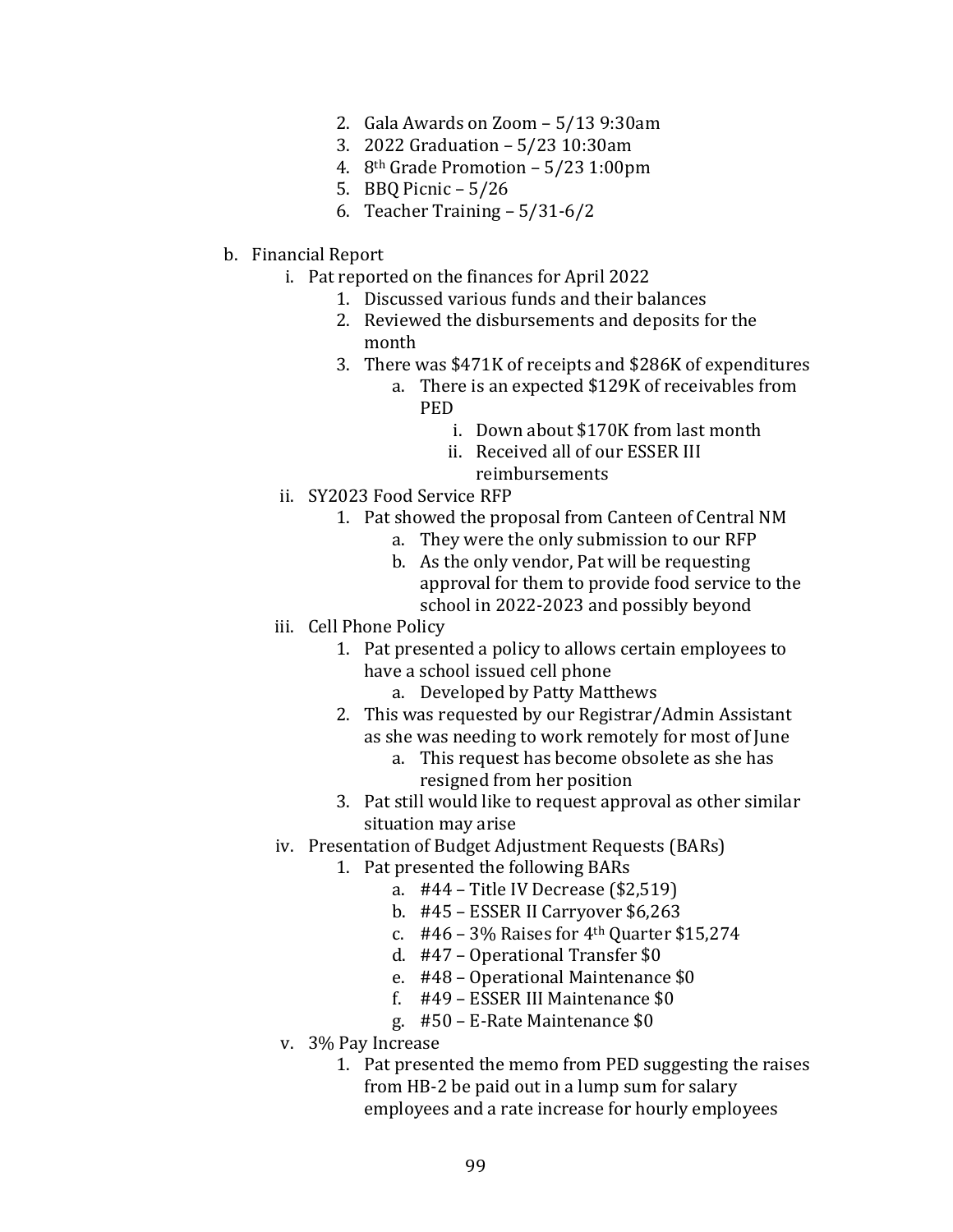- 2. Gala Awards on Zoom 5/13 9:30am
- 3. 2022 Graduation 5/23 10:30am
- 4. 8th Grade Promotion 5/23 1:00pm
- 5. BBQ Picnic 5/26
- 6. Teacher Training 5/31-6/2
- b. Financial Report
	- i. Pat reported on the finances for April 2022
		- 1. Discussed various funds and their balances
		- 2. Reviewed the disbursements and deposits for the month
		- 3. There was \$471K of receipts and \$286K of expenditures
			- a. There is an expected \$129K of receivables from PED
				- i. Down about \$170K from last month
				- ii. Received all of our ESSER III reimbursements
	- ii. SY2023 Food Service RFP
		- 1. Pat showed the proposal from Canteen of Central NM
			- a. They were the only submission to our RFP
			- b. As the only vendor, Pat will be requesting approval for them to provide food service to the school in 2022-2023 and possibly beyond
	- iii. Cell Phone Policy
		- 1. Pat presented a policy to allows certain employees to have a school issued cell phone
			- a. Developed by Patty Matthews
		- 2. This was requested by our Registrar/Admin Assistant as she was needing to work remotely for most of June
			- a. This request has become obsolete as she has resigned from her position
		- 3. Pat still would like to request approval as other similar situation may arise
	- iv. Presentation of Budget Adjustment Requests (BARs)
		- 1. Pat presented the following BARs
			- a. #44 Title IV Decrease (\$2,519)
			- b. #45 ESSER II Carryover \$6,263
			- c.  $#46 3\%$  Raises for  $4<sup>th</sup>$  Quarter \$15,274
			- d. #47 Operational Transfer \$0
			- e. #48 Operational Maintenance \$0
			- f. #49 ESSER III Maintenance \$0
			- g. #50 E-Rate Maintenance \$0
	- v. 3% Pay Increase
		- 1. Pat presented the memo from PED suggesting the raises from HB-2 be paid out in a lump sum for salary employees and a rate increase for hourly employees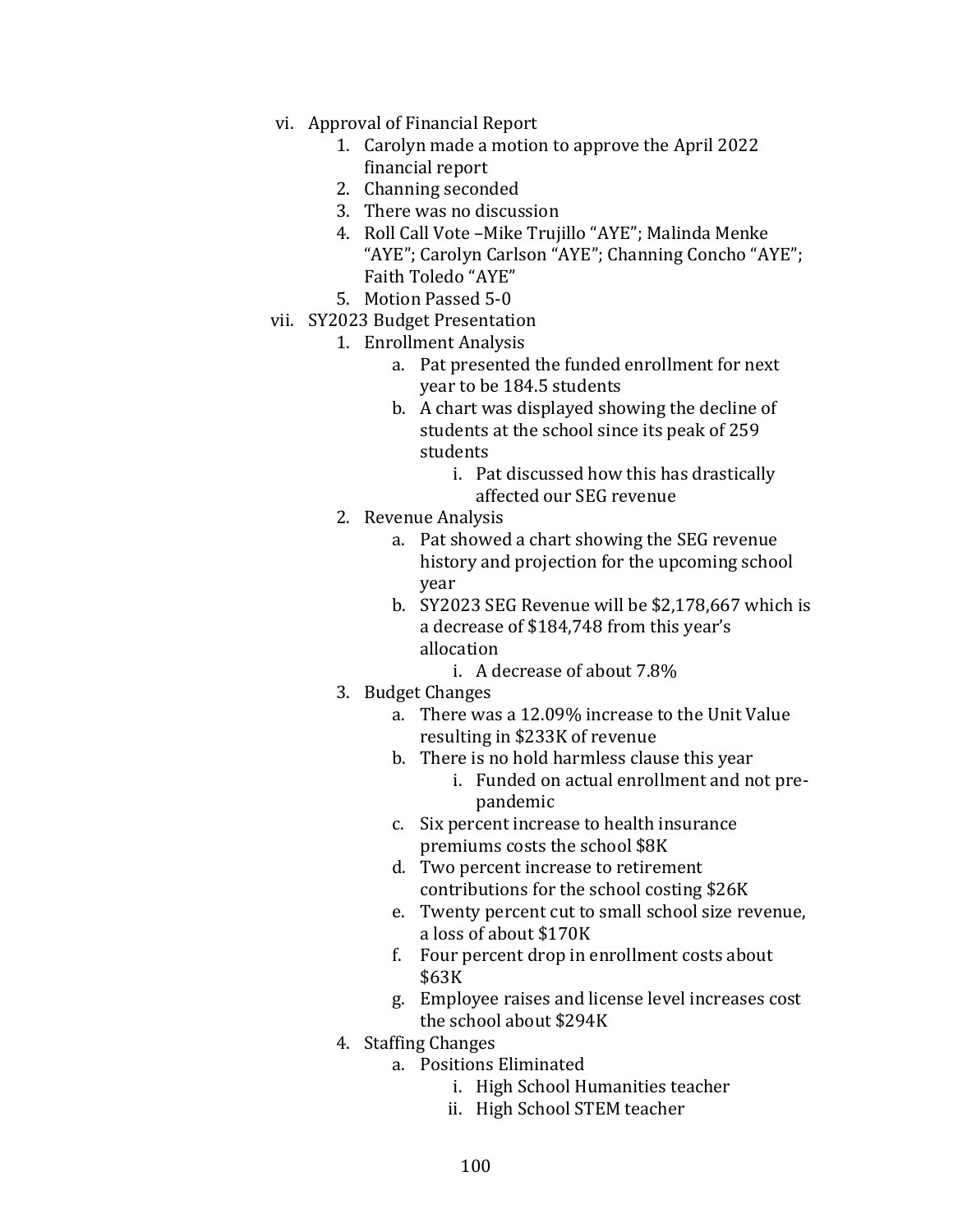- vi. Approval of Financial Report
	- 1. Carolyn made a motion to approve the April 2022 financial report
	- 2. Channing seconded
	- 3. There was no discussion
	- 4. Roll Call Vote –Mike Trujillo "AYE"; Malinda Menke "AYE"; Carolyn Carlson "AYE"; Channing Concho "AYE"; Faith Toledo "AYE"
	- 5. Motion Passed 5-0
- vii. SY2023 Budget Presentation
	- 1. Enrollment Analysis
		- a. Pat presented the funded enrollment for next year to be 184.5 students
		- b. A chart was displayed showing the decline of students at the school since its peak of 259 students
			- i. Pat discussed how this has drastically affected our SEG revenue
	- 2. Revenue Analysis
		- a. Pat showed a chart showing the SEG revenue history and projection for the upcoming school year
		- b. SY2023 SEG Revenue will be \$2,178,667 which is a decrease of \$184,748 from this year's allocation
			- i. A decrease of about 7.8%
	- 3. Budget Changes
		- a. There was a 12.09% increase to the Unit Value resulting in \$233K of revenue
		- b. There is no hold harmless clause this year
			- i. Funded on actual enrollment and not prepandemic
		- c. Six percent increase to health insurance premiums costs the school \$8K
		- d. Two percent increase to retirement contributions for the school costing \$26K
		- e. Twenty percent cut to small school size revenue, a loss of about \$170K
		- f. Four percent drop in enrollment costs about \$63K
		- g. Employee raises and license level increases cost the school about \$294K
	- 4. Staffing Changes
		- a. Positions Eliminated
			- i. High School Humanities teacher
			- ii. High School STEM teacher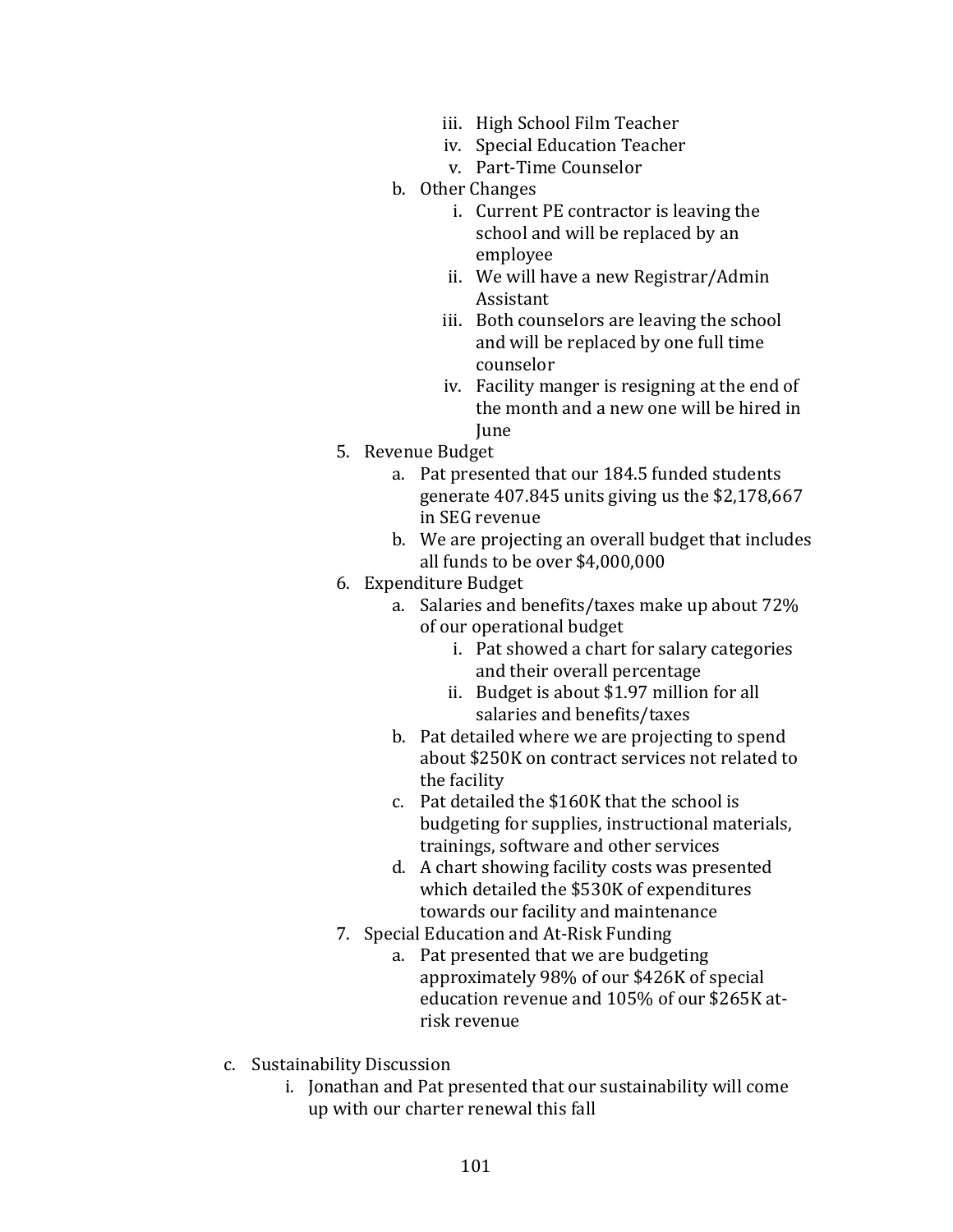- iii. High School Film Teacher
- iv. Special Education Teacher
- v. Part-Time Counselor
- b. Other Changes
	- i. Current PE contractor is leaving the school and will be replaced by an employee
	- ii. We will have a new Registrar/Admin Assistant
	- iii. Both counselors are leaving the school and will be replaced by one full time counselor
	- iv. Facility manger is resigning at the end of the month and a new one will be hired in June
- 5. Revenue Budget
	- a. Pat presented that our 184.5 funded students generate 407.845 units giving us the \$2,178,667 in SEG revenue
	- b. We are projecting an overall budget that includes all funds to be over \$4,000,000
- 6. Expenditure Budget
	- a. Salaries and benefits/taxes make up about 72% of our operational budget
		- i. Pat showed a chart for salary categories and their overall percentage
		- ii. Budget is about \$1.97 million for all salaries and benefits/taxes
	- b. Pat detailed where we are projecting to spend about \$250K on contract services not related to the facility
	- c. Pat detailed the \$160K that the school is budgeting for supplies, instructional materials, trainings, software and other services
	- d. A chart showing facility costs was presented which detailed the \$530K of expenditures towards our facility and maintenance
- 7. Special Education and At-Risk Funding
	- a. Pat presented that we are budgeting approximately 98% of our \$426K of special education revenue and 105% of our \$265K atrisk revenue
- c. Sustainability Discussion
	- i. Jonathan and Pat presented that our sustainability will come up with our charter renewal this fall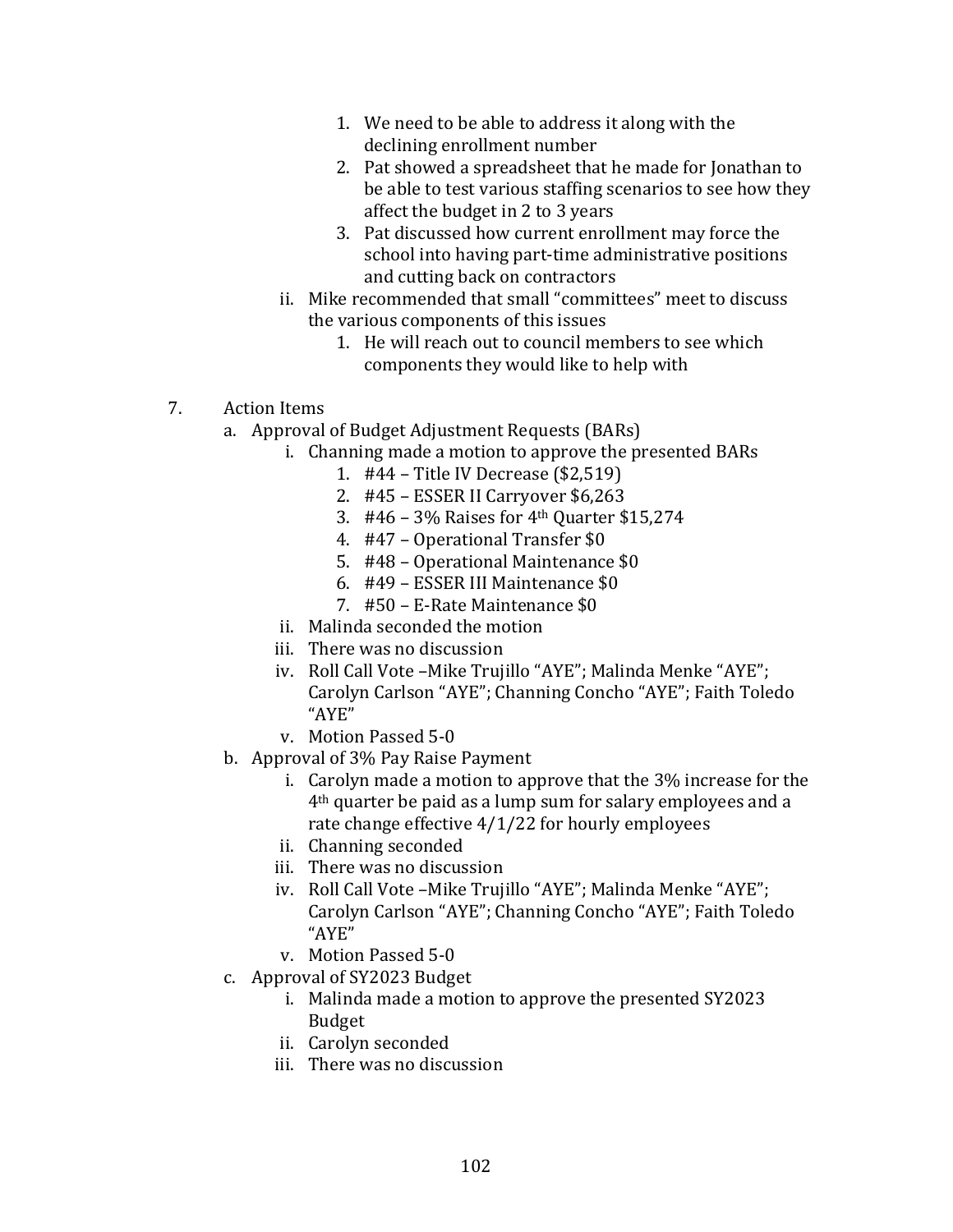- 1. We need to be able to address it along with the declining enrollment number
- 2. Pat showed a spreadsheet that he made for Jonathan to be able to test various staffing scenarios to see how they affect the budget in 2 to 3 years
- 3. Pat discussed how current enrollment may force the school into having part-time administrative positions and cutting back on contractors
- ii. Mike recommended that small "committees" meet to discuss the various components of this issues
	- 1. He will reach out to council members to see which components they would like to help with
- 7. Action Items
	- a. Approval of Budget Adjustment Requests (BARs)
		- i. Channing made a motion to approve the presented BARs
			- 1. #44 Title IV Decrease (\$2,519)
			- 2. #45 ESSER II Carryover \$6,263
			- 3. #46 3% Raises for 4th Quarter \$15,274
			- 4. #47 Operational Transfer \$0
			- 5. #48 Operational Maintenance \$0
			- 6. #49 ESSER III Maintenance \$0
			- 7. #50 E-Rate Maintenance \$0
			- ii. Malinda seconded the motion
			- iii. There was no discussion
			- iv. Roll Call Vote –Mike Trujillo "AYE"; Malinda Menke "AYE"; Carolyn Carlson "AYE"; Channing Concho "AYE"; Faith Toledo "AYE"
			- v. Motion Passed 5-0
	- b. Approval of 3% Pay Raise Payment
		- i. Carolyn made a motion to approve that the 3% increase for the 4th quarter be paid as a lump sum for salary employees and a rate change effective 4/1/22 for hourly employees
		- ii. Channing seconded
		- iii. There was no discussion
		- iv. Roll Call Vote –Mike Trujillo "AYE"; Malinda Menke "AYE"; Carolyn Carlson "AYE"; Channing Concho "AYE"; Faith Toledo "AYE"
		- v. Motion Passed 5-0
	- c. Approval of SY2023 Budget
		- i. Malinda made a motion to approve the presented SY2023 Budget
		- ii. Carolyn seconded
		- iii. There was no discussion